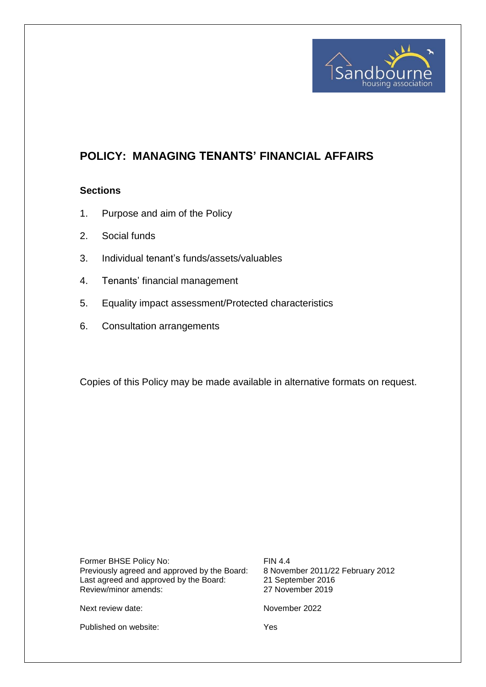

# **POLICY: MANAGING TENANTS' FINANCIAL AFFAIRS**

#### **Sections**

- 1. Purpose and aim of the Policy
- 2. Social funds
- 3. Individual tenant's funds/assets/valuables
- 4. Tenants' financial management
- 5. Equality impact assessment/Protected characteristics
- 6. Consultation arrangements

Copies of this Policy may be made available in alternative formats on request.

Former BHSE Policy No: FIN 4.4<br>Previously agreed and approved by the Board: 8 November 2011/22 February 2012 Previously agreed and approved by the Board: 8 November 2011/22<br>Last agreed and approved by the Board: 21 September 2016 Last agreed and approved by the Board: 21 September 2016<br>Review/minor amends: 27 November 2019 Review/minor amends:

Next review date: November 2022

Published on website: Yes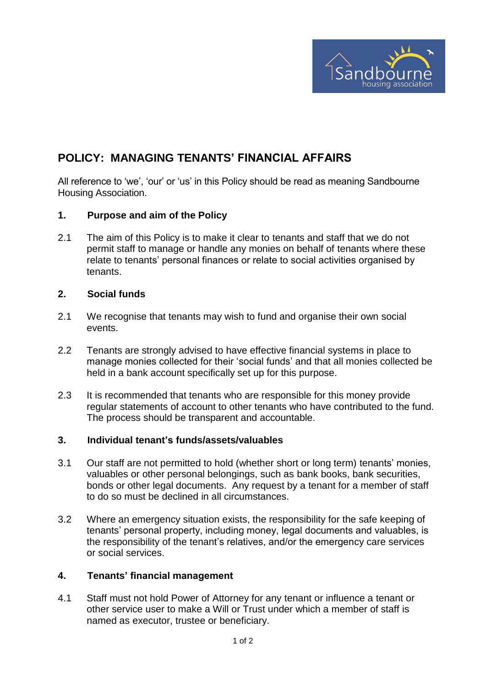

## **POLICY: MANAGING TENANTS' FINANCIAL AFFAIRS**

All reference to 'we', 'our' or 'us' in this Policy should be read as meaning Sandbourne Housing Association.

## **1. Purpose and aim of the Policy**

2.1 The aim of this Policy is to make it clear to tenants and staff that we do not permit staff to manage or handle any monies on behalf of tenants where these relate to tenants' personal finances or relate to social activities organised by tenants.

## **2. Social funds**

- 2.1 We recognise that tenants may wish to fund and organise their own social events.
- 2.2 Tenants are strongly advised to have effective financial systems in place to manage monies collected for their 'social funds' and that all monies collected be held in a bank account specifically set up for this purpose.
- 2.3 It is recommended that tenants who are responsible for this money provide regular statements of account to other tenants who have contributed to the fund. The process should be transparent and accountable.

#### **3. Individual tenant's funds/assets/valuables**

- 3.1 Our staff are not permitted to hold (whether short or long term) tenants' monies, valuables or other personal belongings, such as bank books, bank securities, bonds or other legal documents. Any request by a tenant for a member of staff to do so must be declined in all circumstances.
- 3.2 Where an emergency situation exists, the responsibility for the safe keeping of tenants' personal property, including money, legal documents and valuables, is the responsibility of the tenant's relatives, and/or the emergency care services or social services.

#### **4. Tenants' financial management**

4.1 Staff must not hold Power of Attorney for any tenant or influence a tenant or other service user to make a Will or Trust under which a member of staff is named as executor, trustee or beneficiary.